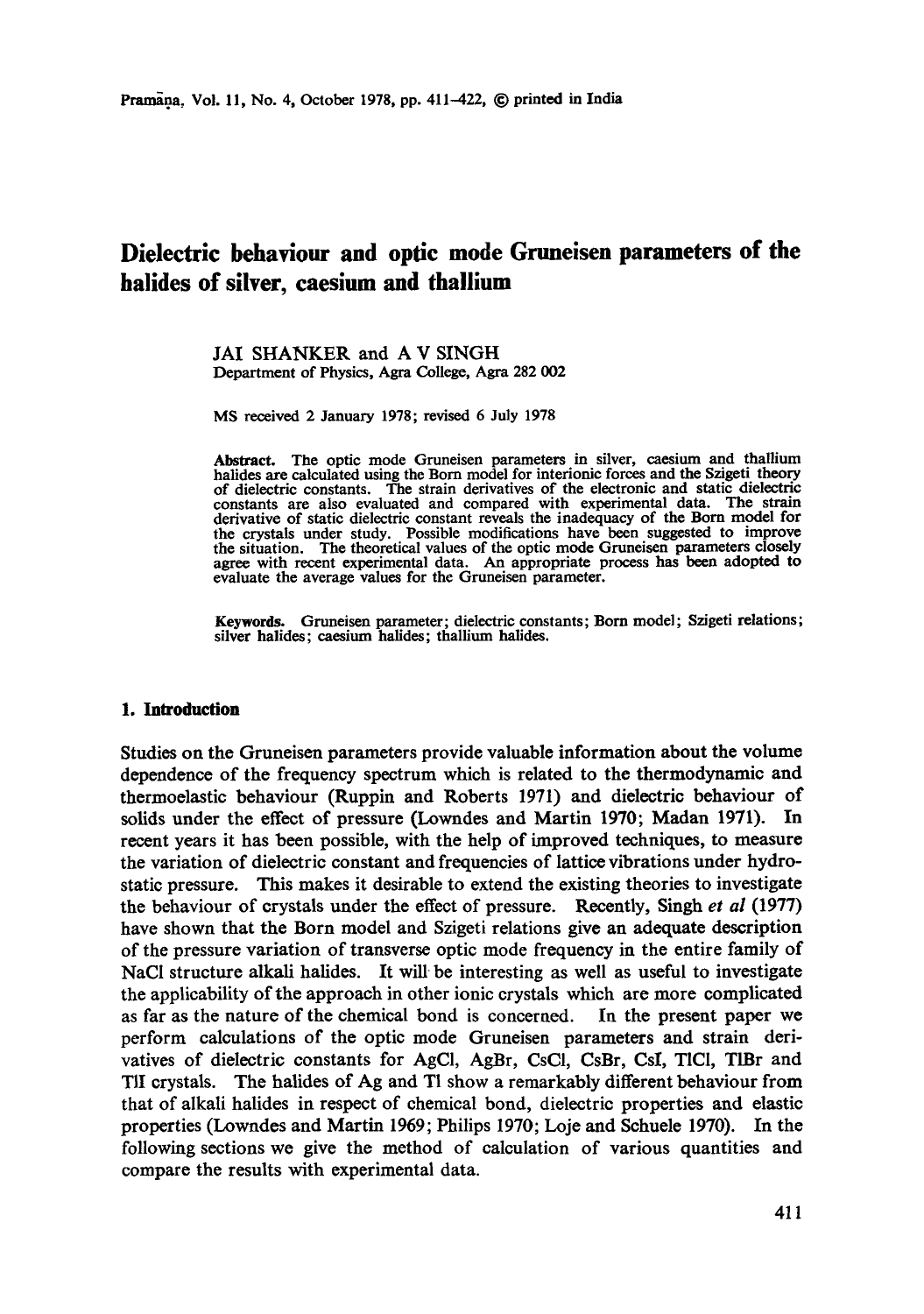# **Dielectric behaviour and optic mode Gruneisen parameters of the halides of silver, caesium and thallium**

JAI SHANKER and A V SINGH Department of Physics, Agra College, Agra 282 002

MS received 2 January 1978; revised 6 July 1978

Abstract. The optic mode Gruneisen parameters in silver, caesium and thallium halides are calculated using the Born model for interionie forces and the Szigeti theory of dielectric constants. The strain derivatives of the electronic and static dielectric constants are also evaluated and compared with experimental data. The strain derivative of static dielectric constant reveals the inadequacy of the Born model for the crystals under study. Possible modifications have been suggested to improve the situation. The theoretical values of the optic mode Gruneisen parameters closely agree with recent experimental data. An appropriate process has been adopted **to**  evaluate the average values for the Gruneisen parameter.

Keywords. Gruneisen parameter; dielectric constants; Born model; Szigeti relations; silver halides; caesium halides; thallium halides.

### **1. Introduction**

Studies on the Gruneisen parameters provide valuable information about the volume dependence of the frequency spectrum which is related to the thermodynamic and thermoelastic behaviour (Ruppin and Roberts 1971) and dielectric behaviour of solids under the effect of pressure (Lowndes and Martin 1970; Madan 1971). In recent years it has been possible, with the help of improved techniques, to measure the variation of dielectric constant and frequencies of lattice vibrations under hydrostatic pressure. This makes it desirable to extend the existing theories to investigate the behaviour of crystals under the effect of pressure. Recently, Singh *et al* (1977) have shown that the Born model and Szigeti relations give an adequate description of the pressure variation of transverse optic mode frequency in the entire family of NaCI structure alkali halides. It will be interesting as well as useful to investigate the applicability of the approach in other ionic crystals which are more complicated as far as the nature of the chemical bond is concerned. In the present paper we perform calculations of the optic mode Gruneisen parameters and strain derivatives of dielectric constants for AgCI, AgBr, CsCI, CsBr, CsI, T1CI, TIBr and TII crystals. The halides of Ag and T1 show a remarkably different behaviour from that of alkali halides in respect of chemical bond, dielectric properties and elastic properties (Lowndes and Martin 1969; Philips 1970; Loje and Schuele 1970). In the following sections we give the method of calculation of various quantities and compare the results with experimental data.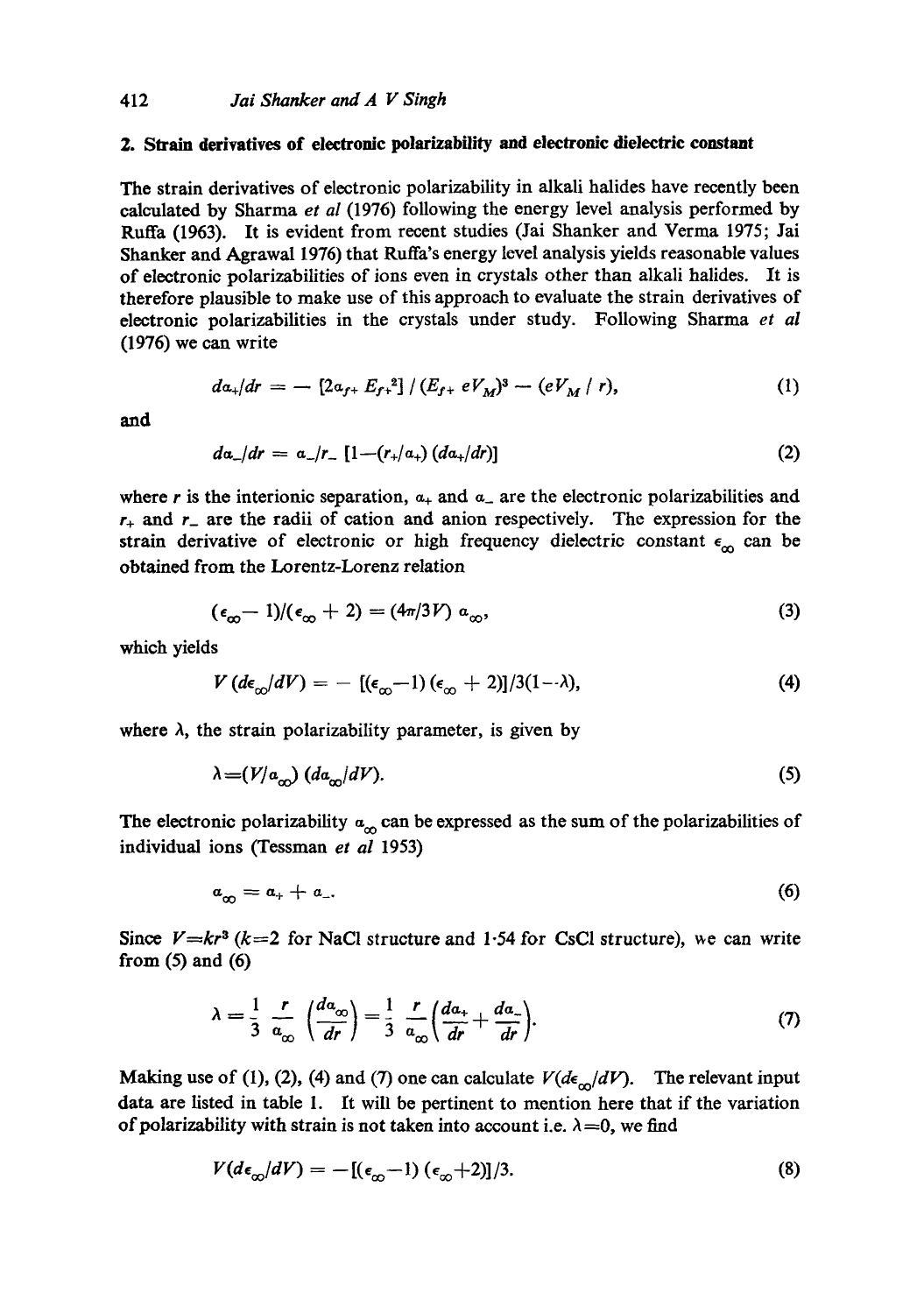## **2. Strain derivatives of electronic polarizability and electronic dielectric constant**

The strain derivatives of electronic polarizability in alkali halides have recently been calculated by Sharma *et al* (1976) following the energy level analysis performed by Ruffa (1963). It is evident from recent studies (Jai Shanker and Verma 1975; Jai Shanker and Agrawal 1976) that Ruffa's energy level analysis yields reasonable values of electronic polarizabilities of ions even in crystals other than alkali halides. It is therefore plausible to make use of this approach to evaluate the strain derivatives of electronic polarizabilities in the crystals under study. Following Sharma *et al*  (1976) we can write

$$
da_{+}/dr = -\left[2a_{f+}E_{f+}^{2}\right]/\left(E_{f+}eV_{M}\right)^{3} - \left(eV_{M}/r\right),\tag{1}
$$

*and* 

$$
da_-/dr = a_-/r_- \left[1 - (r_+/a_+) \left(da_+/dr\right)\right] \tag{2}
$$

where r is the interionic separation,  $a_+$  and  $a_-$  are the electronic polarizabilities and  $r_{+}$  and  $r_{-}$  are the radii of cation and anion respectively. The expression for the strain derivative of electronic or high frequency dielectric constant  $\epsilon_{\alpha}$  can be obtained from the Lorentz-Lorenz relation

$$
(\epsilon_{\infty} - 1)/(\epsilon_{\infty} + 2) = (4\pi/3V) a_{\infty}, \tag{3}
$$

which yields

$$
V\left(d\epsilon_{\infty}/dV\right) = -\left[(\epsilon_{\infty}-1)\left(\epsilon_{\infty}+2\right)\right]/3(1-\lambda),\tag{4}
$$

where  $\lambda$ , the strain polarizability parameter, is given by

$$
\lambda = (V/a_{\infty}) (da_{\infty}/dV). \tag{5}
$$

The electronic polarizability  $a_{\infty}$  can be expressed as the sum of the polarizabilities of individual ions (Tessman *et al* 1953)

$$
a_{\infty} = a_{+} + a_{-}.\tag{6}
$$

Since  $V=kr^3$  ( $k=2$  for NaCl structure and 1.54 for CsCl structure), we can write from  $(5)$  and  $(6)$ 

$$
\lambda = \frac{1}{3} \frac{r}{a_{\infty}} \left( \frac{da_{\infty}}{dr} \right) = \frac{1}{3} \frac{r}{a_{\infty}} \left( \frac{da_{+}}{dr} + \frac{da_{-}}{dr} \right). \tag{7}
$$

Making use of (1), (2), (4) and (7) one can calculate  $V(d\epsilon_{\infty}/dV)$ . The relevant input data are listed in table I. It will be pertinent to mention here that if the variation of polarizability with strain is not taken into account i.e.  $\lambda = 0$ , we find

$$
V(d\epsilon_{\infty}/dV) = -[(\epsilon_{\infty}-1)(\epsilon_{\infty}+2)]/3.
$$
 (8)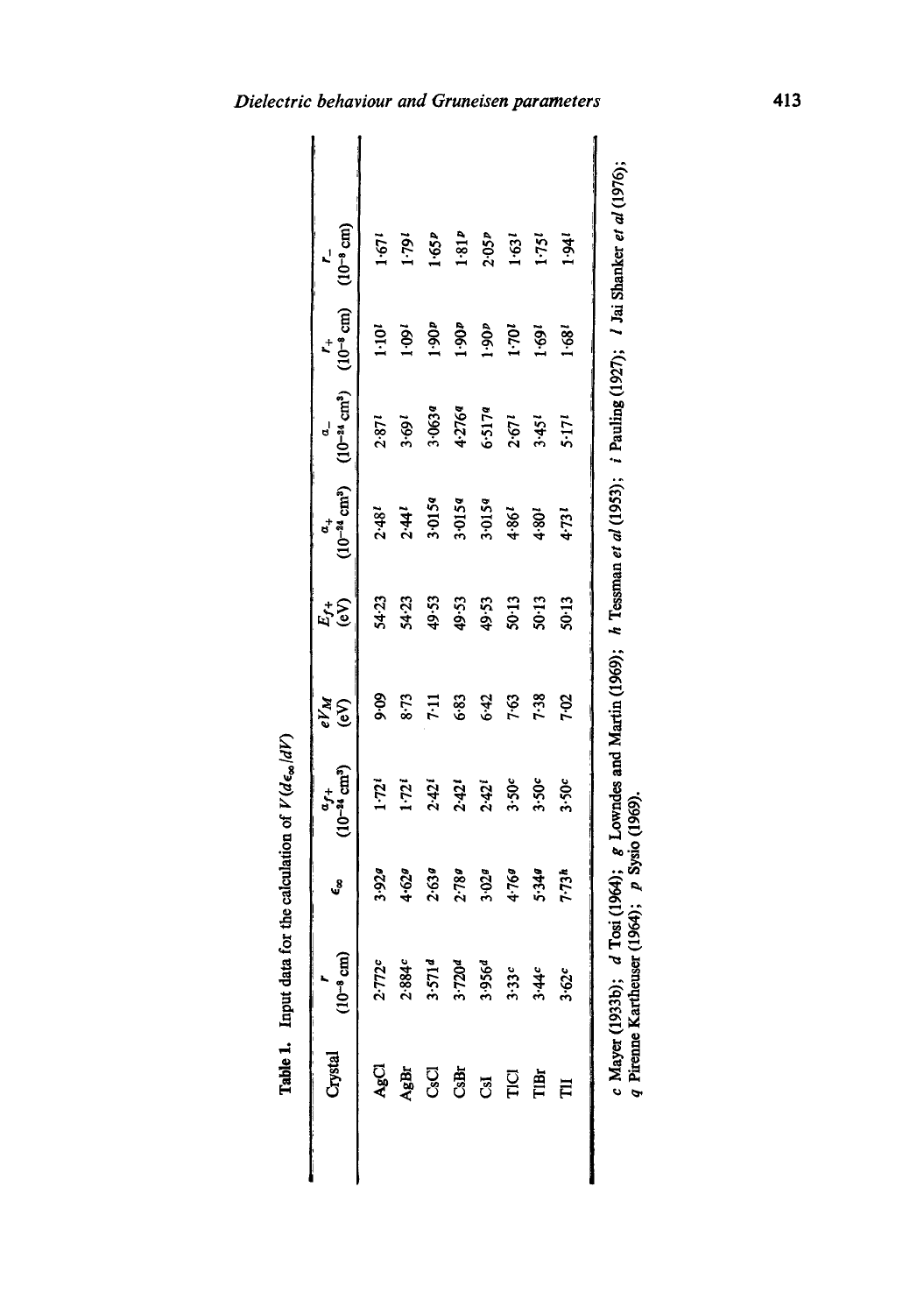| Crystal          | $(10^{-8}$ cm)                                 | J                           | $(10^{-24}$ cm <sup>3</sup> )<br>$a_{f+}$                                                                               | $eV_M$<br>E | r)<br>Er  | $(10^{-24}$ cm <sup>3</sup> )<br>$\mathbf{a}^{\dagger}$ | $(10^{-24}$ cm <sup>3</sup> )<br>$\mathbf{a}$ | $(10^{-8}$ cm)<br>$\mathbf{t}^+$ | $(10^{-8}$ cm)    |  |
|------------------|------------------------------------------------|-----------------------------|-------------------------------------------------------------------------------------------------------------------------|-------------|-----------|---------------------------------------------------------|-----------------------------------------------|----------------------------------|-------------------|--|
| AgCl             | 2.772c                                         | 3.929                       | 1.72                                                                                                                    | 90.6        | 54-23     | $2.48^{i}$                                              | 2.871                                         | 1.101                            | 1.671             |  |
| AgBr             | 2.884c                                         | 4.629                       | 1.72i                                                                                                                   | $8 - 73$    | 54.23     | 2.44                                                    | 3.691                                         | 1001                             | 1.79              |  |
| <b>G</b> SO      | 3.5714                                         | 2.639                       | $2.42^{i}$                                                                                                              | <b>FIT</b>  | 49.53     | 3.0154                                                  | 3.0639                                        | 1.90 <sub>p</sub>                | 1.65P             |  |
| CsBr             | 3.720 <sup>d</sup>                             | 2.789                       | $2.42^{t}$                                                                                                              | 6.83        | 49.53     | 3.0154                                                  | 4.2764                                        | 1.90 <sub>p</sub>                | 1.81P             |  |
| នី               | 3.9564                                         | 3.029                       | $2.42^{i}$                                                                                                              | 6.42        | 49.53     | 3.0154                                                  | 6.5179                                        | 1.90 <sub>p</sub>                | 2.05 <sub>p</sub> |  |
| $\overline{\Pi}$ | 3.33c                                          | 4.760                       | 3.50c                                                                                                                   | 7-63        | $50 - 13$ | 1.861                                                   | $2.67^{1}$                                    | 170                              | 1.631             |  |
| TiBr             | 3.44c                                          | 5.340                       | 3.50c                                                                                                                   | 7.38        | 50.13     | 4.801                                                   | 3.451                                         | 1.69i                            | $1.75^{t}$        |  |
| Ë                | 3.62c                                          | 7.73h                       | 3.50c                                                                                                                   | 7.02        | 50.13     | 4.731                                                   | $5 - 17$                                      | 1.681                            | इं                |  |
|                  | $c$ Mayer (1933b); $d$<br>q Pirenne Kartheuser | $(1964); p$ Sysio $(1969).$ | Tosi (1964); $g$ Lowndes and Martin (1969); $h$ Tessman et al (1953); $i$ Pauling (1927); $i$ Jai Shanker et al (1976); |             |           |                                                         |                                               |                                  |                   |  |

| :                    |
|----------------------|
|                      |
| or the               |
|                      |
|                      |
| data<br><del>d</del> |
| i<br>L               |
|                      |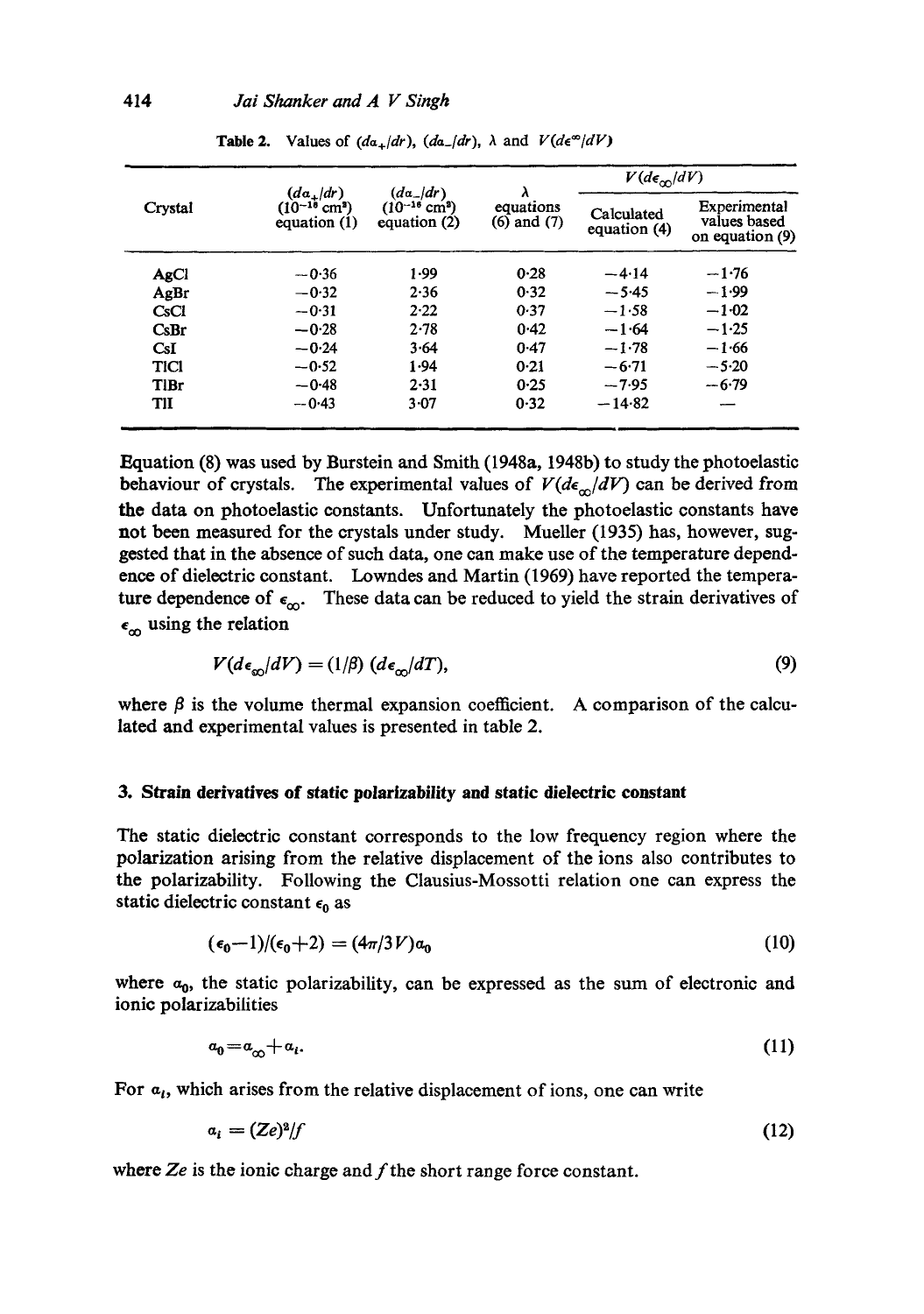|             |                                                                      |                                                                     |                                   | $V(d\epsilon_{\rm cm}/dV)$ |                                                   |
|-------------|----------------------------------------------------------------------|---------------------------------------------------------------------|-----------------------------------|----------------------------|---------------------------------------------------|
| Crystal     | $(da_{\perp}/dr)$<br>$(10^{-10}$ cm <sup>3</sup> )<br>equation $(1)$ | $(d\alpha_{-}/dr)$<br>$(10^{-16}$ cm <sup>2</sup> )<br>equation (2) | λ<br>equations<br>$(6)$ and $(7)$ | Calculated<br>equation (4) | Experimental<br>values based<br>on equation $(9)$ |
| AgCl        | $-0.36$                                                              | 1.99                                                                | 0.28                              | $-4.14$                    | $-1.76$                                           |
| AgBr        | $-0.32$                                                              | 2.36                                                                | 0.32                              | $-5.45$                    | $-1.99$                                           |
| CsCl        | $-0.31$                                                              | 2.22                                                                | 0.37                              | $-1.58$                    | $-1.02$                                           |
| CsBr        | $-0.28$                                                              | 2.78                                                                | 0.42                              | $-1.64$                    | $-1.25$                                           |
| CsI         | $-0.24$                                                              | 3.64                                                                | 0.47                              | $-1.78$                    | $-1.66$                                           |
| TICI        | $-0.52$                                                              | 1.94                                                                | 0.21                              | $-6.71$                    | $-5.20$                                           |
| <b>TIBr</b> | $-0.48$                                                              | 2.31                                                                | 0.25                              | $-7.95$                    | $-6.79$                                           |
| TII         | $-0.43$                                                              | 3.07                                                                | 0.32                              | $-14.82$                   |                                                   |

**Table 2.** Values of  $(da_+/dr)$ ,  $(da_-/dr)$ ,  $\lambda$  and  $V(de^{\infty}/dV)$ 

Equation (8) was used by Burstein and Smith (1948a, 1948b) to study the photoelastie behaviour of crystals. The experimental values of  $V(d\epsilon_{\alpha}/dV)$  can be derived from **the** data on photoelastio constants. Unfortunately the photoelastic constants have not been measured for the crystals under study. Mueller (1935) has, however, suggested that in the absence of such data, one can make use of the temperature dependence of dielectric constant. Lowndes and Martin (1969) have reported the temperature dependence of  $\epsilon_{\rm oo}$ . These data can be reduced to yield the strain derivatives of  $\epsilon_{\infty}$  using the relation

$$
V(d\epsilon_{\infty}/dV) = (1/\beta) \ (d\epsilon_{\infty}/dT), \tag{9}
$$

where  $\beta$  is the volume thermal expansion coefficient. A comparison of the calculated and experimental values is presented in table 2.

#### **3. Strain derivatives of static polarizability and static dielectric constant**

The static dielectric constant corresponds to the low frequency region where the polarization arising from the relative displacement of the ions also contributes to the polarizability. Following the Clausius-Mossotti relation one can express the static dielectric constant  $\epsilon_0$  as

$$
(\epsilon_0 - 1)/(\epsilon_0 + 2) = (4\pi/3V)\alpha_0 \tag{10}
$$

where  $a_0$ , the static polarizability, can be expressed as the sum of electronic and ionic polarizabilities

$$
a_0 = a_\infty + a_i. \tag{11}
$$

For  $a_i$ , which arises from the relative displacement of ions, one can write

$$
a_i = (Ze)^2/f \tag{12}
$$

where Ze is the ionic charge and f the short range force constant.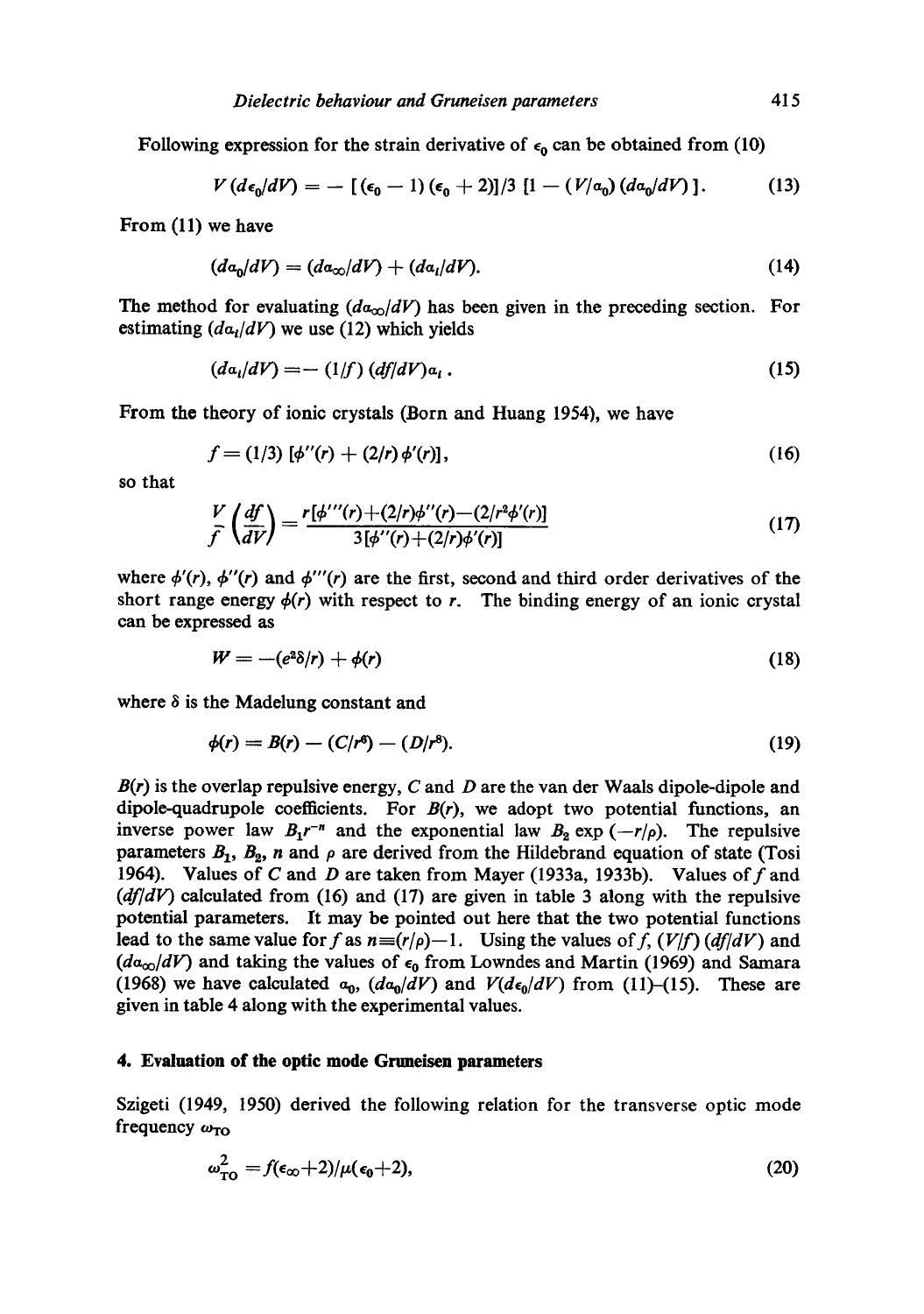Following expression for the strain derivative of  $\epsilon_0$  can be obtained from (10)

$$
V(d\epsilon_0/dV) = -\left[ (\epsilon_0 - 1) (\epsilon_0 + 2) \right] / 3 \left[ 1 - (V/a_0) (da_0/dV) \right]. \tag{13}
$$

From (11) we have

$$
(da_0/dV) = (da_{\infty}/dV) + (da_i/dV). \tag{14}
$$

The method for evaluating  $(d\alpha_{\infty}/dV)$  has been given in the preceding section. For estimating  $(da<sub>1</sub>/dV)$  we use (12) which yields

$$
(da_i/dV) = -(1/f) (df/dV)a_i.
$$
 (15)

From the theory of ionic crystals (Born and Huang 1954), we have

$$
f = (1/3) [\phi''(r) + (2/r) \phi'(r)], \qquad (16)
$$

so that

$$
\frac{V}{f}\left(\frac{df}{dV}\right) = \frac{r[\phi'''(r)+(2/r)\phi''(r)-(2/r^2\phi'(r))]}{3[\phi''(r)+(2/r)\phi'(r)]}
$$
\n(17)

where  $\phi'(r)$ ,  $\phi''(r)$  and  $\phi'''(r)$  are the first, second and third order derivatives of the short range energy  $\phi(r)$  with respect to r. The binding energy of an ionic crystal can be expressed as

$$
W = -(e^2\delta/r) + \phi(r) \tag{18}
$$

where  $\delta$  is the Madelung constant and

$$
\phi(r) = B(r) - (C/r^6) - (D/r^8). \tag{19}
$$

*B(r)* is the overlap repulsive energy, C and D are the van der Waals dipole-dipole and dipole-quadrupole coefficients. For  $B(r)$ , we adopt two potential functions, an inverse power law  $B_1 r^{-n}$  and the exponential law  $B_2 \exp(-r/\rho)$ . The repulsive parameters  $B_1$ ,  $B_2$ , n and  $\rho$  are derived from the Hildebrand equation of state (Tosi 1964). Values of C and D are taken from Mayer (1933a, 1933b). Values of  $f$  and *(df/dV)* calculated from (16) and (17) are given in table 3 along with the repulsive potential parameters. It may be pointed out here that the two potential functions lead to the same value for f as  $n = (r/\rho) - 1$ . Using the values of f,  $(V/f)$  (df/dV) and  $(da_{\infty}/dV)$  and taking the values of  $\epsilon_0$  from Lowndes and Martin (1969) and Samara (1968) we have calculated  $a_0$ ,  $(da_0/dV)$  and  $V(d\epsilon_0/dV)$  from (11)-(15). These are given in table 4 along with the experimental values.

## **4. Evaluation of the optic mode Gruneisen parameters**

Szigeti (1949, 1950) derived the following relation for the transverse optic mode frequency  $\omega_{TO}$ 

$$
\omega_{\text{TO}}^2 = f(\epsilon_\infty + 2)/\mu(\epsilon_0 + 2),\tag{20}
$$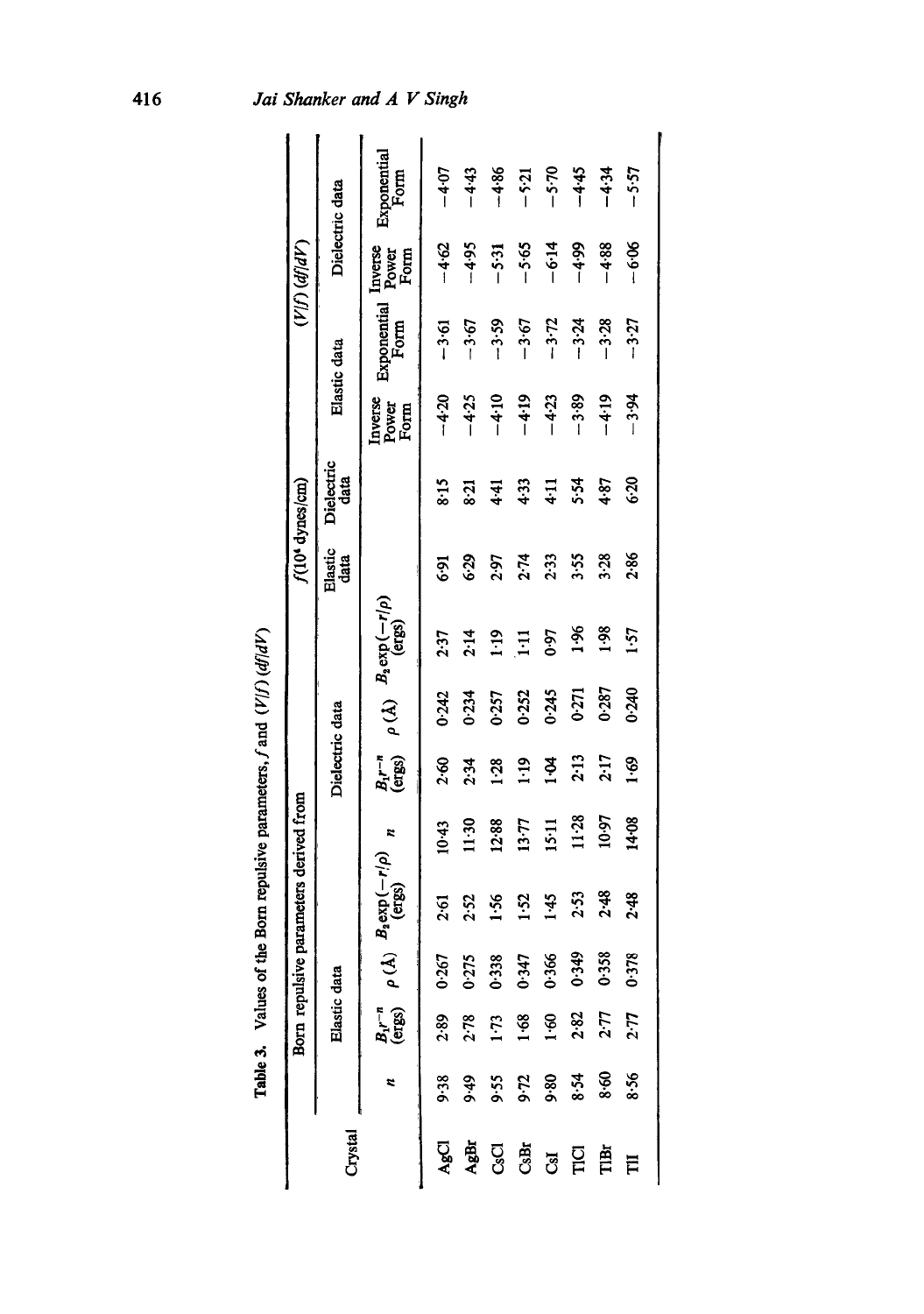| יזניונגי רגוניו                        |
|----------------------------------------|
| <b>.</b>                               |
| <b>Continued in the continued case</b> |
| <b>MONTH CONTROL</b>                   |
| $\vdots$                               |
| )<br>5<br>Î<br>Ť                       |
|                                        |
|                                        |

|                 |          | Born repulsive                                                           |                |                                       | parameters derived from |                        |       |                                         |                 | f(10 <sup>4</sup> dynes/cm) |                          |                     | (VIf) (dfldV)            |                     |
|-----------------|----------|--------------------------------------------------------------------------|----------------|---------------------------------------|-------------------------|------------------------|-------|-----------------------------------------|-----------------|-----------------------------|--------------------------|---------------------|--------------------------|---------------------|
| Crystal         |          | Elastic data                                                             |                |                                       |                         | Dielectric data        |       |                                         | Elastic<br>data | Dielectric<br>data          |                          | Elastic data        |                          | Dielectric data     |
|                 |          | $\begin{array}{ll} B_{1}r^{-n} & \rho(A) \\ \text{(ergs)} & \end{array}$ |                | $B_{\rm s}$ exp $(-r/\rho)$<br>(ergs) |                         | $B_1 r^{-n}$<br>(ergs) |       | $\rho(A)$ $B_2 \exp(-r/\rho)$<br>(ergs) |                 |                             | Inverse<br>Power<br>Form | Exponential<br>Form | Inverse<br>Power<br>Form | Exponential<br>Form |
| AgCl            | 9.38     | 2.89                                                                     | 0.267          | 2.61                                  | $10-43$                 | 2.60                   | 0.242 | 2.37                                    | $6-9$           | 8:15                        | $-4.20$                  | $-3.61$             | $-4.62$                  | $-4.07$             |
| AgBr            | 949      | 2.78                                                                     | 0.275          | 2.52                                  | 11:30                   | 2.34                   | 0.234 | 2.14                                    | 6.29            | 8:21                        | $-4.25$                  | $-3.67$             | $-4.95$                  | $-4.43$             |
| <b>GO</b>       | 9.55     | $1 - 73$                                                                 | 0.338          | 1.56                                  | 12.88                   | <b>128</b>             | 0.257 | $\frac{9}{2}$                           | 2.97            | 44                          | $-4.10$                  | $-3.59$             | $-5.31$                  | $-4.86$             |
| CsBr            | $9 - 72$ | 1.68                                                                     | 0.347<br>0.366 | 1.52                                  | 13.77                   | 1:19                   | 0.252 | Ξ                                       | 2.74            | 4.33                        | $-4.19$                  | $-3.67$             | $-5.65$                  | $-5:21$             |
| <b>GI</b>       | 9.80     | 1.60                                                                     |                | 1.45                                  | 15.11                   | $\ddot{a}$             | 0.245 | <b>G-0</b>                              | 2.33            | $\frac{11}{4}$              | $-4.23$                  | $-3.72$             | $-6.14$                  | $-5.70$             |
| T <sub>CI</sub> | 8.54     | 2.82                                                                     | 0.349          | 2.53                                  | 11.28                   | 2.13                   | 0.271 | $\frac{36}{2}$                          | 3:55            | 5.54                        | $-3.89$                  | $-3.24$             | $-4.99$                  | $-4.45$             |
| TIBI            | 8.60     | 2.77                                                                     | 0.358          | 2.48                                  | 10.97                   | 2:17                   | 0.287 | <b>1.98</b>                             | 3.28            | 4.87                        | $-4.19$                  | $-3.28$             | 4.88                     | $-4.34$             |
| Ħ               | 8.56     | 2.77                                                                     | 0.378          | 2.48                                  | 14.08                   | <u>့</u>               | 0.240 | 1.57                                    | 2.86            | 6:30                        | $-3.94$                  | $-3:27$             | $-6.06$                  | $-5.57$             |
|                 |          |                                                                          |                |                                       |                         |                        |       |                                         |                 |                             |                          |                     |                          |                     |

**4~** 

Jai Shanker and A V Singh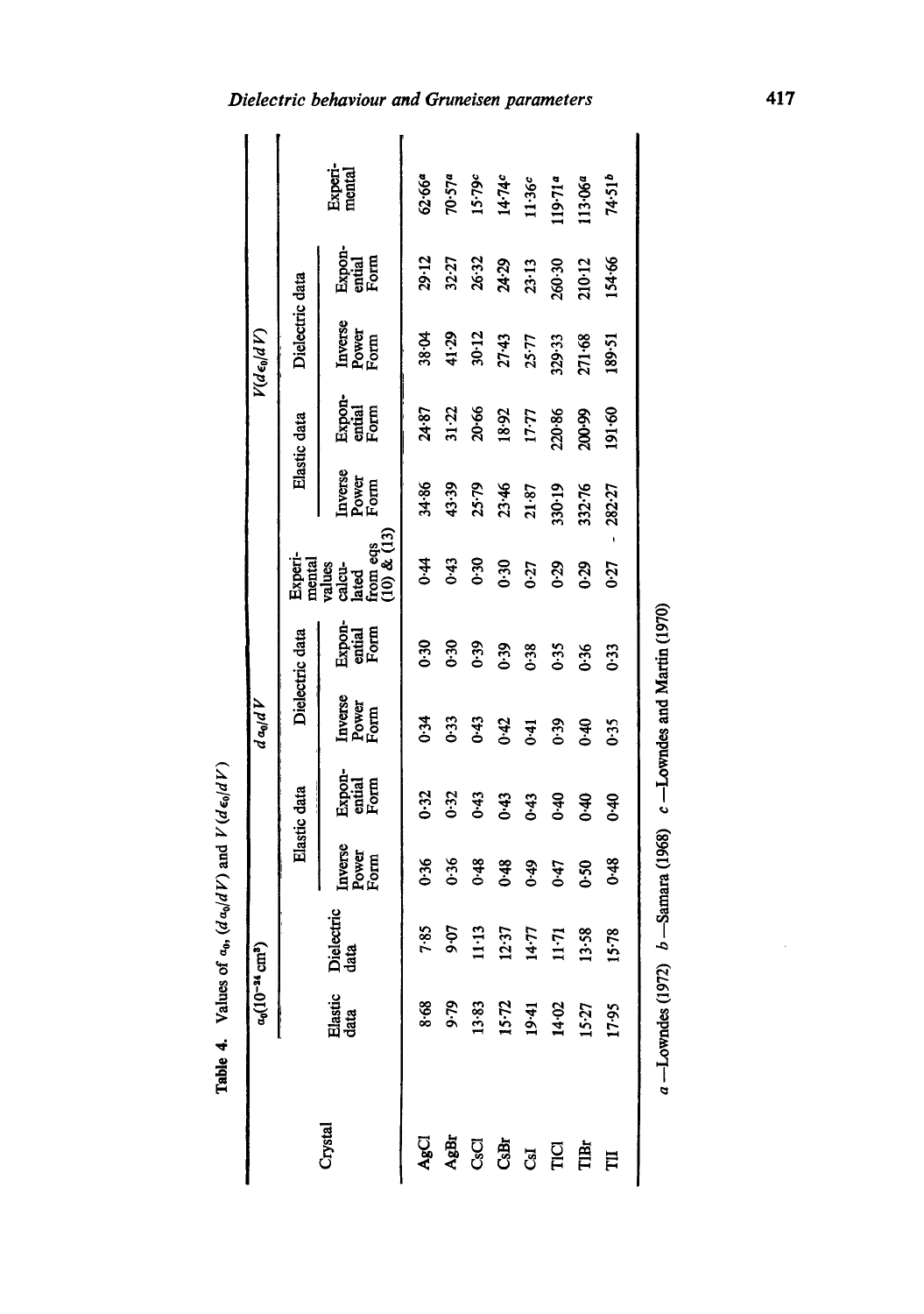| ֚֚֬           |
|---------------|
| i<br>ĭ        |
| È.            |
| కే            |
| ਨ             |
| į<br>ì        |
| ÷             |
| $\frac{1}{2}$ |

|                                        |                                                   | $a_0(10^{-24}$ cm <sup>3</sup> ) |                          |                                                   | $d\,a_0/d\,V$              |                          |                                                                                  |                          |                          | V(de <sub>o</sub> /dV)              |                          |                       |
|----------------------------------------|---------------------------------------------------|----------------------------------|--------------------------|---------------------------------------------------|----------------------------|--------------------------|----------------------------------------------------------------------------------|--------------------------|--------------------------|-------------------------------------|--------------------------|-----------------------|
|                                        |                                                   |                                  |                          | Elastic data                                      |                            | Dielectric data          |                                                                                  |                          | Elastic data             | Dielectric data                     |                          |                       |
| Crystal                                | Elastic<br>data                                   | Dielectric<br>data               | Inverse<br>Power<br>Form | Expon-<br>ential<br>Form                          | Inverse<br>Power<br>Form   | Expon-<br>ential<br>Form | Experimental<br>mental<br>values<br>valcume eqs<br>dated<br>from eqs<br>from eqs | Inverse<br>Power<br>Form | Expon-<br>ential<br>Form | Inverse<br>Power<br>Form            | Expon-<br>ential<br>Form | Experi-<br>mental     |
| AgCI                                   | 8.68                                              | 7.85                             | 0.36                     | 0.32                                              | 0.34                       | 0.30                     | $\dot{a}$                                                                        | 34.86                    | 24.87                    | 38.04                               | 29.12                    | 62.66ª                |
| AgBr                                   |                                                   | $9 - 07$                         | 0.36                     | $0 - 32$                                          | 0.33                       | 0.30                     | 0.43                                                                             | 43.39                    | $31 - 22$                | 41.29                               | 32.27                    |                       |
|                                        |                                                   | 1.13                             | 0.48                     | $0 - 43$                                          |                            | 0.39                     | 0.30                                                                             |                          | 20.66                    |                                     | 26.32                    | $70.57a$<br>15.79 $c$ |
| C <sub>S</sub> Br<br>C <sub>S</sub> Br |                                                   | 2.37                             | 0.48                     | 0.43                                              | $6.43$<br>$6.43$<br>$6.43$ | 0.39                     | 0.30                                                                             | 25.79<br>23.46<br>21.87  | 18.92                    | $30 - 12$<br>$27 - 43$<br>$25 - 77$ | 24.29                    | 14.74c                |
|                                        |                                                   | $14 - 77$                        | $6*0$                    | $0 - 43$                                          |                            | 0.38                     | 0.27                                                                             |                          | $17.77$                  |                                     | $23 - 13$                | $11.36c$              |
| <b>SPE</b>                             |                                                   | $11 - 71$                        | 0.47                     | 0.40                                              | 0.39                       | 0.35                     | 0.29                                                                             | 330.19                   | 220.86                   | 329.33                              | 260.30                   | 119.71ª               |
|                                        | 9.79<br>13.83<br>15.71<br>14.02<br>17.95<br>17.95 | 13.58                            | 0.50                     | 0.40                                              | 0.40                       | 0.36                     | 0.29                                                                             | 332.76                   | 200.99                   | 271.68                              | 210.12                   | 113.06ª               |
| Ħ                                      |                                                   | 15.78                            | 0.48                     | $0 - 40$                                          | 0.35                       | 0.33                     | 0:27                                                                             | 282.27                   | 191.60                   | 189.51                              | 154.66                   | 74.516                |
|                                        | $a -$ Lowndes (1972)                              |                                  |                          | $b$ -Samara (1968) $c$ -Lowndes and Martin (1970) |                            |                          |                                                                                  |                          |                          |                                     |                          |                       |

# Dielectric behaviour and Gruneisen parameters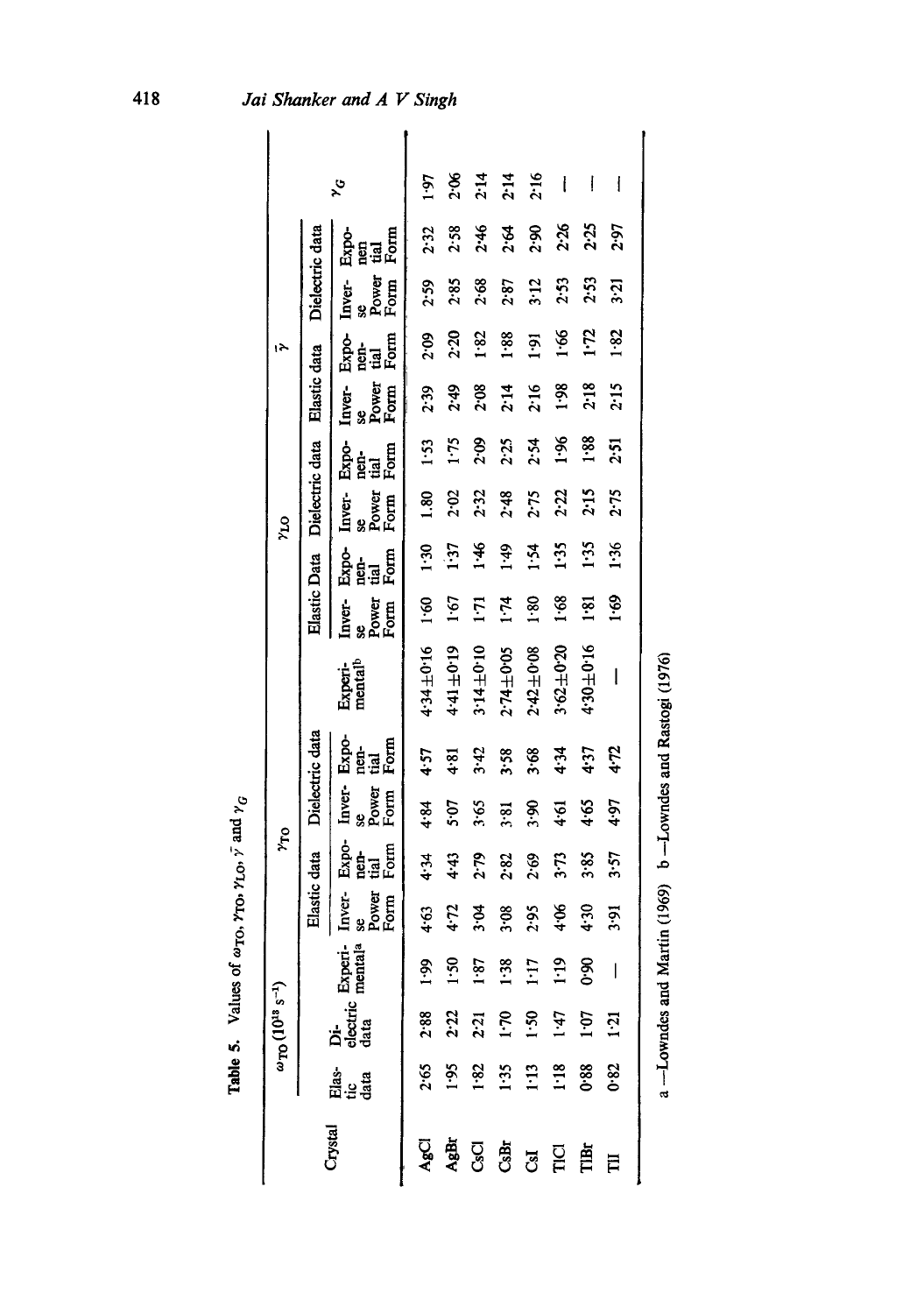| $\omega_{\rm TO} (10^{18} \text{ s}^{-1})$ |  |                               | ντο                           |                               |                             |                                |                               |                     | ρτ <sub>κ</sub>               |                                          |                               | Α١                  |                         |                         |                   |
|--------------------------------------------|--|-------------------------------|-------------------------------|-------------------------------|-----------------------------|--------------------------------|-------------------------------|---------------------|-------------------------------|------------------------------------------|-------------------------------|---------------------|-------------------------|-------------------------|-------------------|
|                                            |  | Elastic data                  |                               |                               | Dielectric data             |                                | Elastic Data                  |                     | Dielectric data               |                                          | Elastic data                  |                     | Dielectric data         |                         |                   |
| Di-<br>electric Experi-<br>data            |  | se<br>Power<br>Inver-<br>Form | Expo-<br>nen-<br>Form<br>Form | Inver-<br>se<br>Power<br>Form | Exp-<br>nei<br>Form<br>Form | Experi-<br>mental <sup>b</sup> | se<br>Power<br>Form<br>Inver- | Esta<br>Bata<br>Fom | se<br>Power<br>Form<br>Inver- | Expo-<br>$\frac{d}{d}$ and $\frac{d}{d}$ | se<br>Power<br>Form<br>Inver- | Expo-<br>tia<br>Eaf | Power<br>Form<br>Inver- | Expo-<br>Form<br>ទ្ធឆ្ន | $\lambda_{\rm G}$ |
| 6.1<br>2.88                                |  | 4.63                          | 4.34                          | 4.84                          | 4.57                        | 4.34±0.16                      | $\frac{60}{1}$                | $\frac{30}{2}$      | នី                            | 1.53                                     | 2.39                          | 200                 | 2.59                    | 2.32                    | 1.97              |
| 472<br>1.50<br>2:22                        |  |                               | 4.43                          | 5.07                          | 4.81                        | 4.41±0.19                      | 1.67                          | 1.37                | 2.02                          | 1.75                                     | \$7.2                         | 2.20                | 2.85                    | 2.58                    | ვ.<br>ა           |
| 1.87<br>2:21                               |  | 3.04                          | 2.79                          | 3.65                          | 3.42                        | 3.14±0.10                      | $\vec{\mathbf{z}}$            | $3 - 1$             | 2.32                          | 2.09                                     | 2.08                          | 1.82                | 2.68                    | 2.46                    | 2:14              |
| 3.08<br>1.38<br>$1 - 70$                   |  |                               | 2.82                          | 3.81                          | 3:58                        | 2.74±0.05                      | 1.74                          | 64.1                | 2.48                          | 2:25                                     | 2.14                          | 1.88                | 2.87                    | 2.64                    | 2:14              |
| 2.95<br>1:17<br>$1 - 50$                   |  |                               | 2.69                          | œ.€                           | 3.68                        | $2.42 \pm 0.08$                | 1.80                          | 1.54                | 2.75                          | 2.54                                     | 2:16                          | $\overline{16.1}$   | 3:12                    | 2.90                    | 2.16              |
| \$6.<br>$\ddot{E}$<br>1.47                 |  |                               | $3 - 73$                      | 4.61                          | 4:34                        | $3.62 + 0.20$                  | 1.68                          | 1:35                | 2:22                          | $\frac{36}{1}$                           | 1.98                          | 1.66                | 2.53                    | 2.26                    | I                 |
| 6.6<br>1.07                                |  | $-1.50$                       | 3.85                          | 4.65                          | 4.37                        | 91.0千0£4                       | 1.81                          | 1:35                | 2:15                          | 1.88                                     | 2.18                          | <b>E-1</b>          | 2.53                    | 2.25                    | I                 |
| 1:21                                       |  | 16.5                          | 3.57                          | 4.97                          | 4.72                        | l                              | $69 - 1$                      | 1.36                | 2.75                          | 2.51                                     | 2:15                          | 1.82                | 3:21                    | 2.97                    |                   |
|                                            |  |                               |                               |                               |                             |                                |                               |                     |                               |                                          |                               |                     |                         |                         |                   |

a --Lowndes and Martin (1969) b --Lowndes and Rastogi (1976)

a --Lowndes and Martin (1969) b --Lowndes and Rastogi (1976)

Table 5. Values of  $\omega_{\text{TO}}$ ,  $\gamma_{\text{TO}}$ ,  $\gamma_{\text{LO}}$ ,  $\bar{\gamma}$  and  $\gamma_G$ Table 5. Values of  $\omega_{\text{TO}}$ ,  $\gamma_{\text{LO}}$ ,  $\gamma$  and  $\gamma_{\text{C}}$ 

Jai Shanker and A V Singh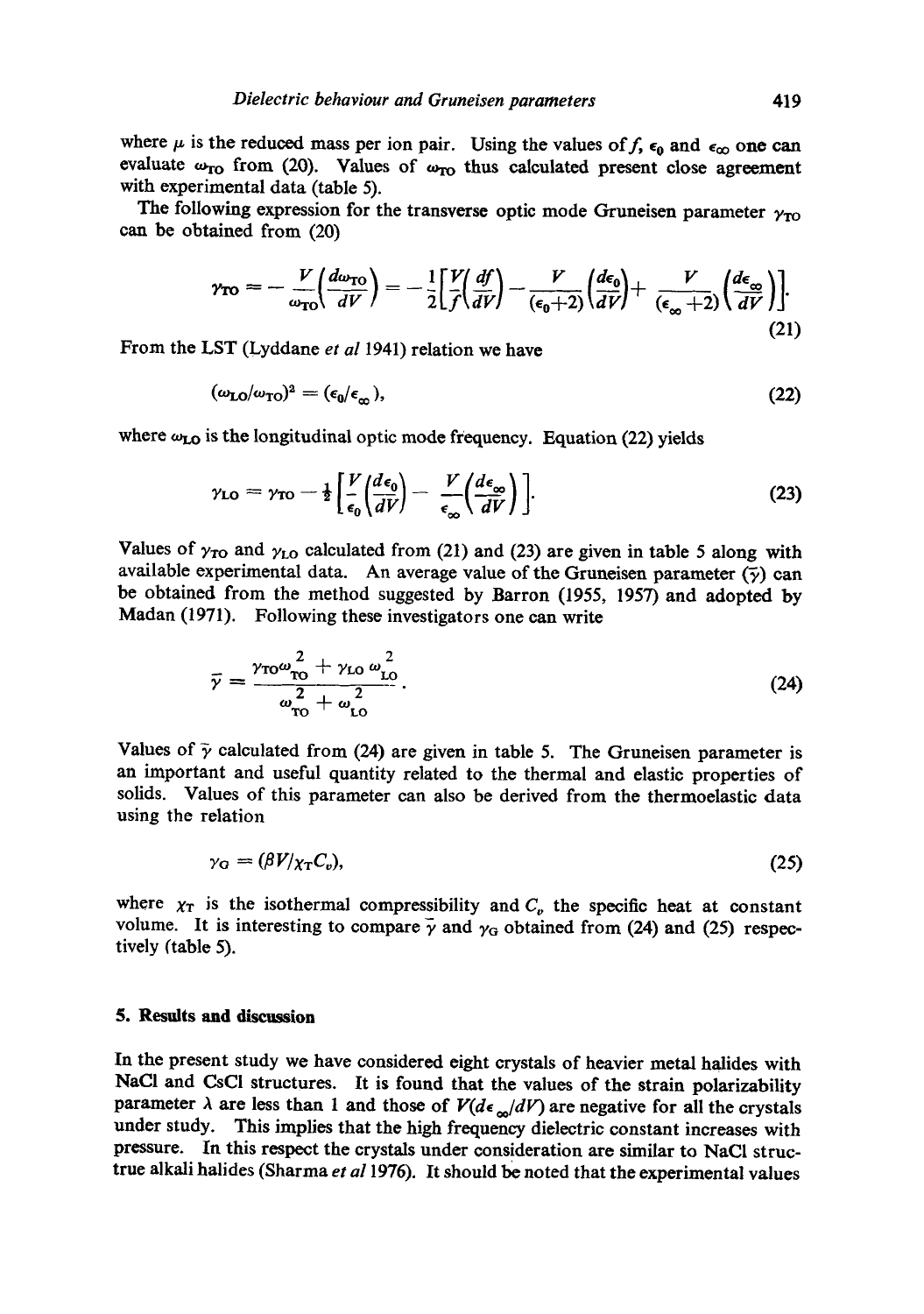where  $\mu$  is the reduced mass per ion pair. Using the values of f,  $\epsilon_0$  and  $\epsilon_{\infty}$  one can evaluate  $\omega_{TO}$  from (20). Values of  $\omega_{TO}$  thus calculated present close agreement with experimental data (table 5).

The following expression for the transverse optic mode Gruneisen parameter  $\gamma_{\text{TO}}$ can be obtained from (20)

$$
\gamma_{\text{TO}} = -\frac{V}{\omega_{\text{TO}}} \left( \frac{d\omega_{\text{TO}}}{dV} \right) = -\frac{1}{2} \left[ \frac{V}{f} \left( \frac{df}{dV} \right) - \frac{V}{(\epsilon_0 + 2)} \left( \frac{d\epsilon_0}{dV} \right) + \frac{V}{(\epsilon_\infty + 2)} \left( \frac{d\epsilon_\infty}{dV} \right) \right]. \tag{21}
$$

From the LST (Lyddane *et al* 1941) relation we have

$$
(\omega_{\mathbf{LO}}/\omega_{\mathbf{TO}})^2 = (\epsilon_0/\epsilon_\infty),\tag{22}
$$

where  $\omega_{LO}$  is the longitudinal optic mode frequency. Equation (22) yields

$$
\gamma_{\rm LO} = \gamma_{\rm TO} - \frac{1}{2} \left[ \frac{V}{\epsilon_0} \left( \frac{d\epsilon_0}{dV} \right) - \frac{V}{\epsilon_{\infty}} \left( \frac{d\epsilon_{\infty}}{dV} \right) \right]. \tag{23}
$$

Values of  $\gamma_{\text{TO}}$  and  $\gamma_{\text{LO}}$  calculated from (21) and (23) are given in table 5 along with available experimental data. An average value of the Gruneisen parameter  $(\bar{y})$  can be obtained from the method suggested by Barren (1955, 1957) and adopted by Madan (1971). Following these investigators one can write

$$
\bar{\gamma} = \frac{\gamma_{\rm T0}\omega_{\rm T0}^2 + \gamma_{\rm LO}\omega_{\rm LO}^2}{\omega_{\rm T0}^2 + \omega_{\rm LO}^2}.
$$
\n(24)

Values of  $\tilde{\gamma}$  calculated from (24) are given in table 5. The Gruneisen parameter is an important and useful quantity related to the thermal and elastic properties of solids. Values of this parameter can also be derived from the thermoelastic data using the relation

$$
\gamma_{\rm G} = (\beta V/\chi_{\rm T} C_{\rm o}),\tag{25}
$$

where  $\chi_T$  is the isothermal compressibility and  $C_p$  the specific heat at constant volume. It is interesting to compare  $\bar{\gamma}$  and  $\gamma_G$  obtained from (24) and (25) respectively (table 5).

### **5. Results and discussion**

In the present study we have considered eight crystals of heavier metal halides with NaCl and CsCI structures. It is found that the values of the strain polarizability parameter  $\lambda$  are less than 1 and those of  $V(d\epsilon_{\infty}/dV)$  are negative for all the crystals under study. This implies that the high frequency dielectric constant increases with pressure. In this respect the crystals under consideration are similar to NaCl structrue alkali halides (Sharma *et a11976).* It should be noted that the experimental values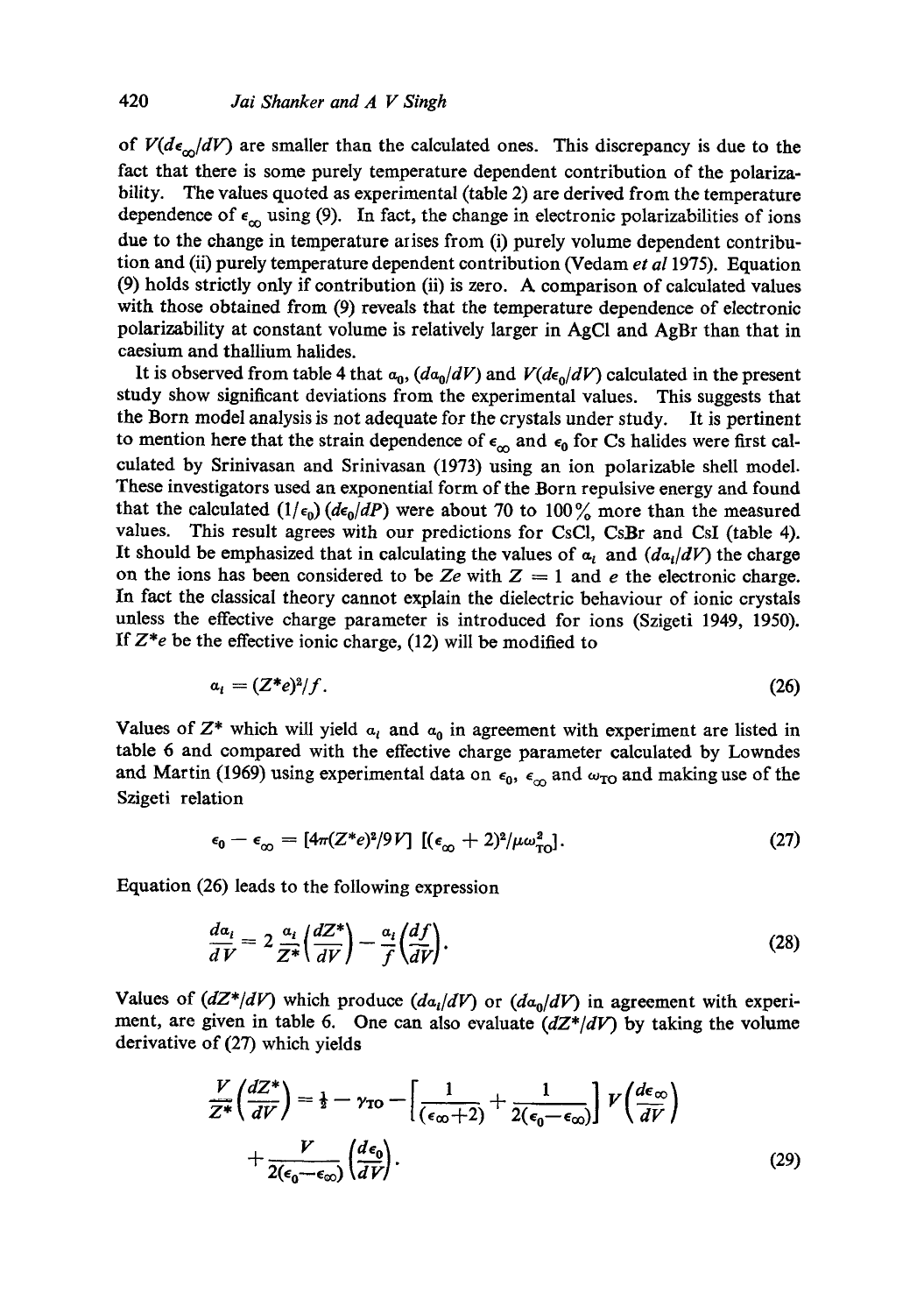of  $V(d\epsilon_{\alpha}/dV)$  are smaller than the calculated ones. This discrepancy is due to the fact that there is some purely temperature dependent contribution of the polarizability. The values quoted as experimental (table 2) are derived from the temperature dependence of  $\epsilon_{\infty}$  using (9). In fact, the change in electronic polarizabilities of ions due to the change in temperature arises from (i) purely volume dependent contribution and (ii) purely temperature dependent contribution (Vedam *et a11975).* Equation (9) holds strictly only if contribution (ii) is zero. A comparison of calculated values with those obtained from (9) reveals that the temperature dependence of electronic polarizability at constant volume is relatively larger in AgC1 and AgBr than that in caesium and thallium halides.

It is observed from table 4 that  $a_0$ ,  $(da_0/dV)$  and  $V(de_0/dV)$  calculated in the present study show significant deviations from the experimental values. This suggests that the Born model analysis is not adequate for the crystals under study. It is pertinent to mention here that the strain dependence of  $\epsilon_{\infty}$  and  $\epsilon_0$  for Cs halides were first calculated by Srinivasan and Srinivasan (1973) using an ion polarizable shell model. These investigators used an exponential form of the Born repulsive energy and found that the calculated  $(1/\epsilon_0)$  *(de<sub>0</sub>/dP)* were about 70 to 100% more than the measured values. This result agrees with our predictions for CsCI, CsBr and CsI (table 4). It should be emphasized that in calculating the values of  $a_t$  and  $(da_t/dV)$  the charge on the ions has been considered to be Ze with  $Z = 1$  and e the electronic charge. In fact the classical theory cannot explain the dielectric behaviour of ionic crystals unless the effective charge parameter is introduced for ions (Szigeti 1949, 1950). If  $Z^*e$  be the effective ionic charge,  $(12)$  will be modified to

$$
a_i = (Z^*e)^2/f. \tag{26}
$$

Values of  $Z^*$  which will yield  $a_i$  and  $a_0$  in agreement with experiment are listed in table 6 and compared with the effective charge parameter calculated by Lowndes and Martin (1969) using experimental data on  $\epsilon_0$ ,  $\epsilon_{\infty}$  and  $\omega_{\text{TO}}$  and making use of the Szigeti relation

$$
\epsilon_0 - \epsilon_\infty = [4\pi (Z^*e)^2/9V] \left[ (\epsilon_\infty + 2)^2 / \mu \omega_{\text{TO}}^2 \right]. \tag{27}
$$

Equation (26) leads to the following expression

$$
\frac{da_i}{dV} = 2 \frac{a_i}{Z^*} \left( \frac{dZ^*}{dV} \right) - \frac{a_i}{f} \left( \frac{df}{dV} \right). \tag{28}
$$

Values of  $(dZ^*/dV)$  which produce  $(da_i/dV)$  or  $(da_0/dV)$  in agreement with experiment, are given in table 6. One can also evaluate *(dZ\*/dV)* by taking the volume derivative of (27) which yields

$$
\frac{V}{Z^*} \left( \frac{dZ^*}{dV} \right) = \frac{1}{2} - \gamma_{\text{TO}} - \left[ \frac{1}{(\epsilon_{\infty} + 2)} + \frac{1}{2(\epsilon_0 - \epsilon_{\infty})} \right] V \left( \frac{d\epsilon_{\infty}}{dV} \right)
$$

$$
+ \frac{V}{2(\epsilon_0 - \epsilon_{\infty})} \left( \frac{d\epsilon_0}{dV} \right). \tag{29}
$$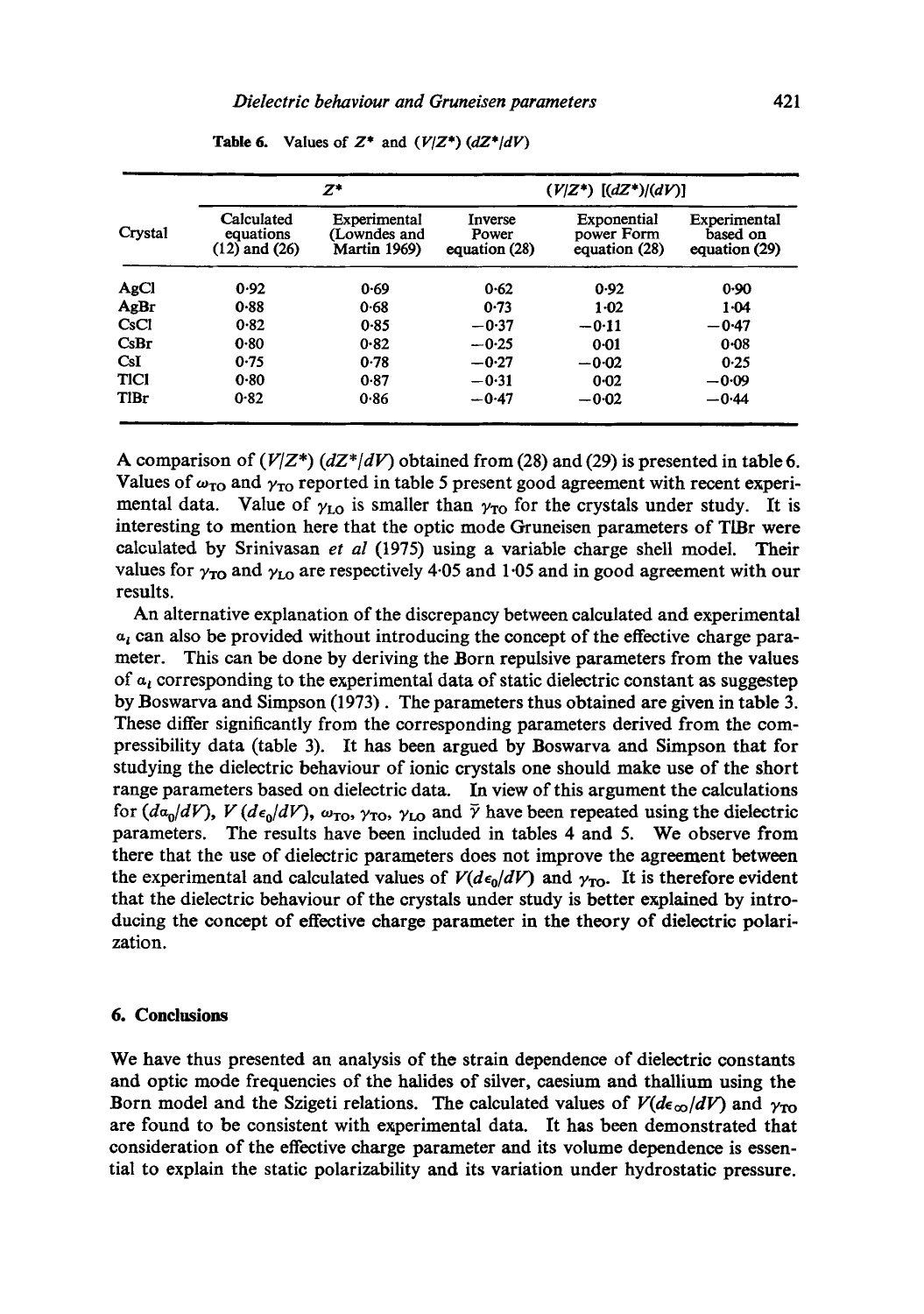|             |                                              | $Z^*$                                               |                                   | $(V Z^*)$ $[(dZ^*)/(dV)]$                  |                                           |
|-------------|----------------------------------------------|-----------------------------------------------------|-----------------------------------|--------------------------------------------|-------------------------------------------|
| Crystal     | Calculated<br>equations<br>$(12)$ and $(26)$ | Experimental<br>(Lowndes and<br><b>Martin 1969)</b> | Inverse<br>Power<br>equation (28) | Exponential<br>power Form<br>equation (28) | Experimental<br>based on<br>equation (29) |
| AgCl        | 0.92                                         | 0.69                                                | 0.62                              | 0.92                                       | 0.90                                      |
| AgBr        | 0.88                                         | 0.68                                                | 0.73                              | $1-02$                                     | $1-04$                                    |
| CsC1        | 0.82                                         | 0.85                                                | $-0.37$                           | $-0.11$                                    | $-0.47$                                   |
| CsBr        | 0.80                                         | 0.82                                                | $-0.25$                           | $0 - 01$                                   | $0 - 08$                                  |
| CsI         | 0.75                                         | 0.78                                                | $-0.27$                           | $-0.02$                                    | 0.25                                      |
| TICI        | $0 - 80$                                     | 0.87                                                | $-0.31$                           | $0 - 02$                                   | $-0.09$                                   |
| <b>TIBr</b> | 0.82                                         | 0.86                                                | $-0.47$                           | $-0.02$                                    | $-0.44$                                   |

**Table 6.** Values of  $Z^*$  and  $(V/Z^*)$   $(dZ^*/dV)$ 

A comparison of  $(V/Z^*)$   $(dZ^*/dV)$  obtained from (28) and (29) is presented in table 6. Values of  $\omega_{\text{TO}}$  and  $\gamma_{\text{TO}}$  reported in table 5 present good agreement with recent experimental data. Value of  $\gamma_{\text{LO}}$  is smaller than  $\gamma_{\text{TO}}$  for the crystals under study. It is interesting to mention here that the optic mode Gruneisen parameters of TIBr were calculated by Srinivasan *et al* (1975) using a variable charge shell model. Their values for  $\gamma_{\text{TO}}$  and  $\gamma_{\text{LO}}$  are respectively 4.05 and 1.05 and in good agreement with our results.

An alternative explanation of the discrepancy between calculated and experimental  $a_i$  can also be provided without introducing the concept of the effective charge parameter. This can be done by deriving the Born repulsive parameters from the values of  $a_{\iota}$  corresponding to the experimental data of static dielectric constant as suggestep by Boswarva and Simpson (1973). The parameters thus obtained are given in table 3. These differ significantly from the corresponding parameters derived from the compressibility data (table 3). It has been argued by Boswarva and Simpson that for studying the dielectric behaviour of ionic crystals one should make use of the short range parameters based on dielectric data. In view of this argument the calculations for  $(d\alpha_0/dV)$ ,  $V(d\epsilon_0/dV)$ ,  $\omega_{\text{TO}}$ ,  $\gamma_{\text{TO}}$ ,  $\gamma_{\text{LO}}$  and  $\bar{\gamma}$  have been repeated using the dielectric parameters. The results have been included in tables 4 and 5. We observe from there that the use of dielectric parameters does not improve the agreement between the experimental and calculated values of  $V(d\epsilon_0/dV)$  and  $\gamma_{\text{TO}}$ . It is therefore evident that the dielectric behaviour of the crystals under study is better explained by introducing the concept of effective charge parameter in the theory of dielectric polarization.

## **6. Conclusions**

We have thus presented an analysis of the strain dependence of dielectric constants and optic mode frequencies of the halides of silver, caesium and thallium using the Born model and the Szigeti relations. The calculated values of  $V(d\epsilon_{\infty}/dV)$  and  $\gamma_{\text{TO}}$ are found to be consistent with experimental data. It has been demonstrated that consideration of the effective charge parameter and its volume dependence is essential to explain the static polarizability and its variation under hydrostatic pressure.